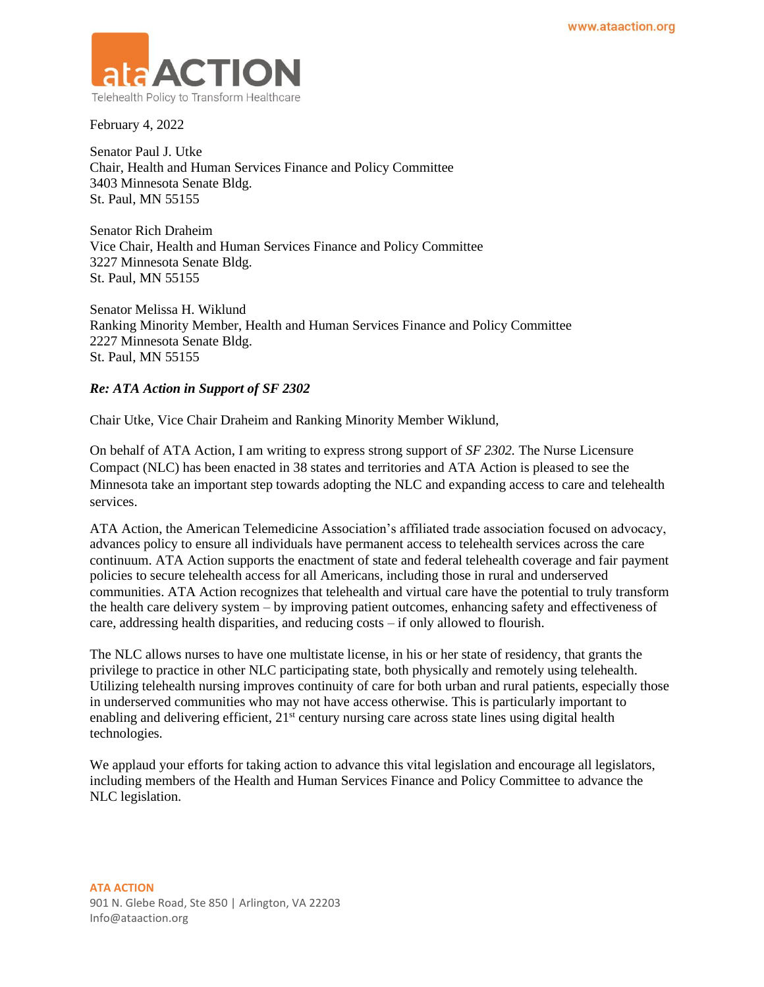

February 4, 2022

Senator Paul J. Utke Chair, Health and Human Services Finance and Policy Committee 3403 Minnesota Senate Bldg. St. Paul, MN 55155

Senator Rich Draheim Vice Chair, Health and Human Services Finance and Policy Committee 3227 Minnesota Senate Bldg. St. Paul, MN 55155

Senator Melissa H. Wiklund Ranking Minority Member, Health and Human Services Finance and Policy Committee 2227 Minnesota Senate Bldg. St. Paul, MN 55155

## *Re: ATA Action in Support of SF 2302*

Chair Utke, Vice Chair Draheim and Ranking Minority Member Wiklund,

On behalf of ATA Action, I am writing to express strong support of *SF 2302.* The Nurse Licensure Compact (NLC) has been enacted in 38 states and territories and ATA Action is pleased to see the Minnesota take an important step towards adopting the NLC and expanding access to care and telehealth services.

ATA Action, the American Telemedicine Association's affiliated trade association focused on advocacy, advances policy to ensure all individuals have permanent access to telehealth services across the care continuum. ATA Action supports the enactment of state and federal telehealth coverage and fair payment policies to secure telehealth access for all Americans, including those in rural and underserved communities. ATA Action recognizes that telehealth and virtual care have the potential to truly transform the health care delivery system – by improving patient outcomes, enhancing safety and effectiveness of care, addressing health disparities, and reducing costs – if only allowed to flourish.

The NLC allows nurses to have one multistate license, in his or her state of residency, that grants the privilege to practice in other NLC participating state, both physically and remotely using telehealth. Utilizing telehealth nursing improves continuity of care for both urban and rural patients, especially those in underserved communities who may not have access otherwise. This is particularly important to enabling and delivering efficient, 21<sup>st</sup> century nursing care across state lines using digital health technologies.

We applaud your efforts for taking action to advance this vital legislation and encourage all legislators, including members of the Health and Human Services Finance and Policy Committee to advance the NLC legislation.